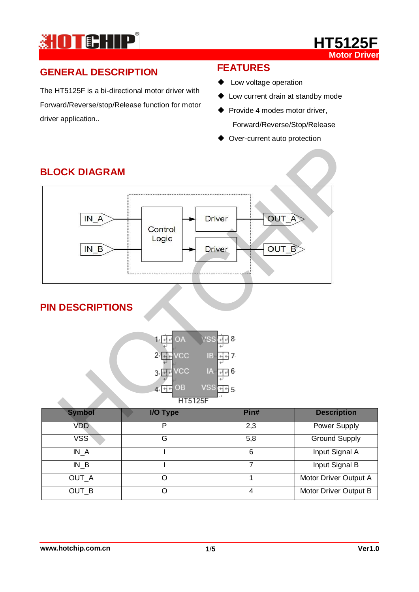



# **GENERAL DESCRIPTION**

The HT5125F is a bi-directional motor driver with Forward/Reverse/stop/Release function for motor driver application..

# **FEATURES**

- ◆ Low voltage operation
- Low current drain at standby mode
- ◆ Provide 4 modes motor driver, Forward/Reverse/Stop/Release
- ◆ Over-current auto protection



# **BLOCK DIAGRAM**

## **PIN DESCRIPTIONS**



| <b>Symbol</b>    | I/O Type | Pin# | <b>Description</b>    |
|------------------|----------|------|-----------------------|
| <b>VDD</b>       | 2,3<br>D |      | Power Supply          |
| VSS <sup>®</sup> | G        | 5,8  | <b>Ground Supply</b>  |
| IN A             |          | 6    | Input Signal A        |
| $IN_B$           |          |      | Input Signal B        |
| OUT_A            |          |      | Motor Driver Output A |
| OUT_B            |          | 4    | Motor Driver Output B |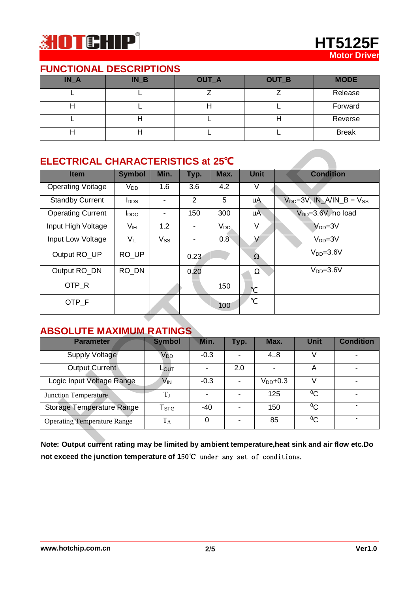

### **FUNCTIONAL DESCRIPTIONS**

| $IN_A$ | <b>NB</b> | OUT_A | OUT_B | <b>MODE</b>  |
|--------|-----------|-------|-------|--------------|
|        |           |       |       | Release      |
|        |           |       |       | Forward      |
|        |           |       |       | Reverse      |
|        |           |       |       | <b>Break</b> |

# **ELECTRICAL CHARACTERISTICS at 25℃**

| <b>Item</b>                        | <b>Symbol</b>           | Min.                     | Typ.           | Max.            |                | <b>Unit</b>       |            | <b>Condition</b>               |                                      |
|------------------------------------|-------------------------|--------------------------|----------------|-----------------|----------------|-------------------|------------|--------------------------------|--------------------------------------|
| <b>Operating Voitage</b>           | $V_{DD}$                | 1.6                      | 3.6            | 4.2             |                | V                 |            |                                |                                      |
| <b>Standby Current</b>             | <b>l</b> <sub>DDS</sub> | ä,                       | $\overline{2}$ | 5               |                | uA                |            |                                | $V_{DD} = 3V$ , $IN_A/IN_B = V_{SS}$ |
| <b>Operating Current</b>           | $I_{DDO}$               | $\overline{\phantom{0}}$ | 150            | 300             |                | uA                |            | V <sub>DD</sub> =3.6V, no load |                                      |
| Input High Voltage                 | V <sub>IH</sub>         | 1.2                      |                | V <sub>DD</sub> |                | $\overline{\vee}$ |            | $VDD=3V$                       |                                      |
| <b>Input Low Voltage</b>           | $V_{IL}$                | Vss                      |                | 0.8             |                | $\overline{\vee}$ |            | $VDD=3V$                       |                                      |
| Output RO_UP                       | RO_UP                   |                          | 0.23           |                 |                | $\Omega$          |            | $VDD=3.6V$                     |                                      |
| Output RO_DN                       | RO_DN                   |                          | 0.20           |                 |                | $\Omega$          | $VDD=3.6V$ |                                |                                      |
| OTP_R                              |                         |                          |                | 150             |                | °C                |            |                                |                                      |
| OTP F                              |                         |                          |                | 100             |                | $\mathrm{C}$      |            |                                |                                      |
| <b>ABSOLUTE MAXIMUM RATINGS</b>    |                         |                          |                |                 |                |                   |            |                                |                                      |
| <b>Parameter</b>                   |                         | <b>Symbol</b>            | Min.           |                 | Typ.           | Max.              |            | Unit                           | <b>Condition</b>                     |
| <b>Supply Voltage</b>              |                         | <b>V<sub>DD</sub></b>    | $-0.3$         |                 |                | 4.8               |            | V                              |                                      |
| <b>Output Current</b>              |                         | Lout                     | $\blacksquare$ |                 | 2.0            | $\blacksquare$    |            | A                              |                                      |
| Logic Input Voltage Range          |                         | $V_{IN}$                 | $-0.3$         |                 |                | $VDD+0.3$         |            | $\overline{\vee}$              |                                      |
| <b>Junction Temperature</b>        |                         | $T_I$                    | $\blacksquare$ |                 |                | 125               |            | $^{0}C$                        | $\blacksquare$                       |
| <b>Storage Temperature Range</b>   |                         | $T_{STG}$                | $-40$          |                 | $\blacksquare$ | 150               |            | $^{0}C$                        |                                      |
| <b>Operating Temperature Range</b> |                         | $T_A$                    | $\mathbf 0$    |                 | $\blacksquare$ | 85                |            | $^{0}C$                        | $\overline{\phantom{a}}$             |

### **ABSOLUTE MAXIMUM RATINGS**

| <b>Parameter</b>                   | <b>Symbol</b>         | Min.   | Typ. | Max.          | <b>Unit</b> | <b>Condition</b> |
|------------------------------------|-----------------------|--------|------|---------------|-------------|------------------|
| <b>Supply Voltage</b>              | <b>V<sub>DD</sub></b> | $-0.3$ |      | 4.8           |             |                  |
| Output Current                     | LOUT                  |        | 2.0  |               | Α           |                  |
| Logic Input Voltage Range          | $V_{\mathsf{IN}}$     | $-0.3$ |      | $V_{DD}$ +0.3 |             |                  |
| <b>Junction Temperature</b>        |                       |        |      | 125           | $^{0}C$     |                  |
| <b>Storage Temperature Range</b>   | Tstrg                 | $-40$  |      | 150           | $^{0}C$     |                  |
| <b>Operating Temperature Range</b> | $T_A$                 |        |      | 85            | $^{0}C$     |                  |

**Note: Output current rating may be limited by ambient temperature,heat sink and air flow etc.Do not exceed the junction temperature of 150℃** under any set of conditions.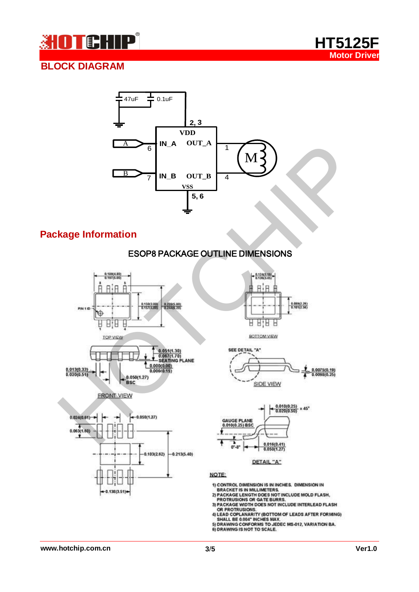



## **BLOCK DIAGRAM**



### **Package Information**

### ESOP8 PACKAGE OUTLINE DIMENSIONS









DETAIL "A"

NOTE:

1) CONTROL DIMENSION IS IN INCHES. DIMENSION IN<br>BRACKET IS IN MILLIMETERS.

**BRACKET IS IN MILLIMETERS.**<br>2) PACKAGE LENGTH DOES NOT INCLUDE MOLD FLASH,<br>PROTRUSIONS OR GATE BURRS.<br>3) PACKAGE WIDTH DOES NOT INCLUDE INTERLEAD FLASH<br>OR PROTRUSIONS.<br>4) LEAD COPLANARITY (BOTTOM OF LEADS AFTER FORMING)<br>5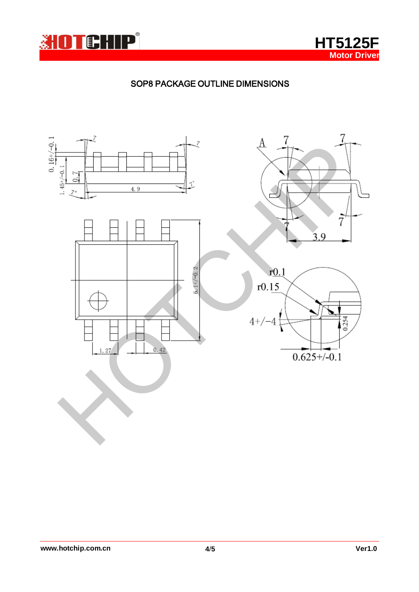

**HT5125F Motor Driver**

### SOP8 PACKAGE OUTLINE DIMENSIONS

٦